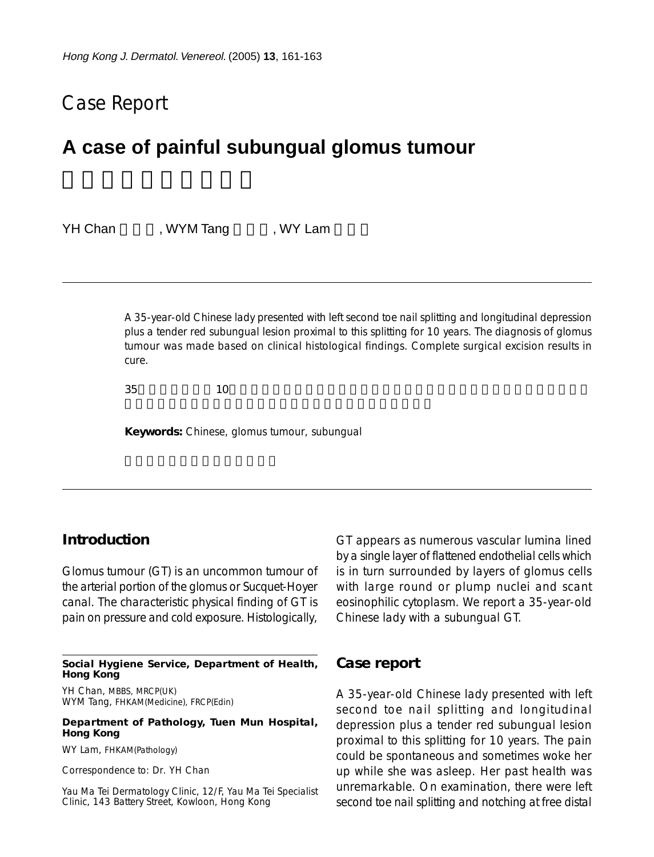# Case Report

# **A case of painful subungual glomus tumour**

| <b>YH Chan</b> | , WYM Tang | , WY Lam |  |
|----------------|------------|----------|--|
|                |            |          |  |

A 35-year-old Chinese lady presented with left second toe nail splitting and longitudinal depression plus a tender red subungual lesion proximal to this splitting for 10 years. The diagnosis of glomus tumour was made based on clinical histological findings. Complete surgical excision results in cure.

 $35$  and  $10$ 

**Keywords:** Chinese, glomus tumour, subungual

### **Introduction**

Glomus tumour (GT) is an uncommon tumour of the arterial portion of the glomus or Sucquet-Hoyer canal. The characteristic physical finding of GT is pain on pressure and cold exposure. Histologically,

**Social Hygiene Service, Department of Health, Hong Kong**

YH Chan, MBBS, MRCP(UK) WYM Tang, FHKAM(Medicine), FRCP(Edin)

#### **Department of Pathology, Tuen Mun Hospital, Hong Kong**

WY Lam, FHKAM(Pathology)

Correspondence to: Dr. YH Chan

Yau Ma Tei Dermatology Clinic, 12/F, Yau Ma Tei Specialist Clinic, 143 Battery Street, Kowloon, Hong Kong

GT appears as numerous vascular lumina lined by a single layer of flattened endothelial cells which is in turn surrounded by layers of glomus cells with large round or plump nuclei and scant eosinophilic cytoplasm. We report a 35-year-old Chinese lady with a subungual GT.

### **Case report**

A 35-year-old Chinese lady presented with left second toe nail splitting and longitudinal depression plus a tender red subungual lesion proximal to this splitting for 10 years. The pain could be spontaneous and sometimes woke her up while she was asleep. Her past health was unremarkable. On examination, there were left second toe nail splitting and notching at free distal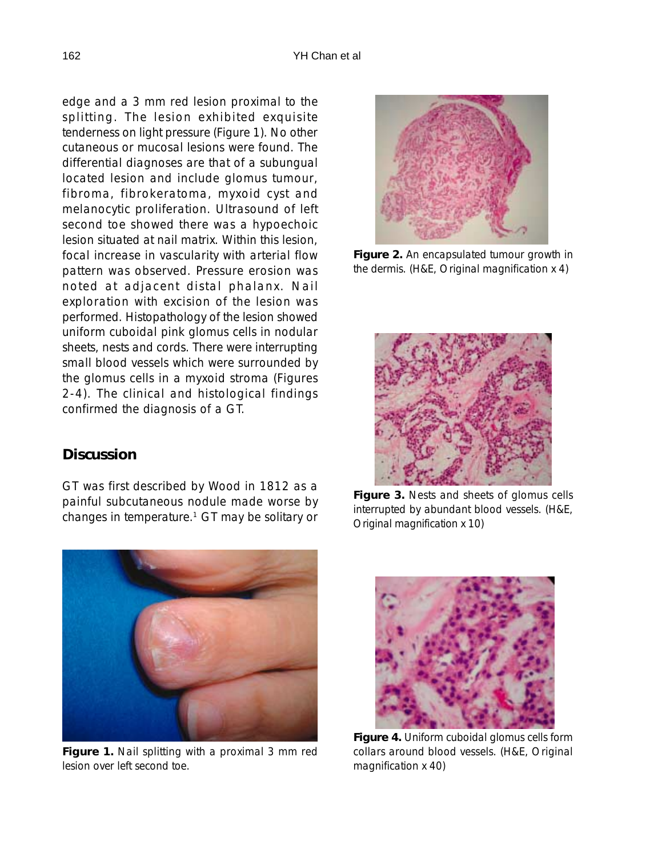edge and a 3 mm red lesion proximal to the splitting. The lesion exhibited exquisite tenderness on light pressure (Figure 1). No other cutaneous or mucosal lesions were found. The differential diagnoses are that of a subungual located lesion and include glomus tumour, fibroma, fibrokeratoma, myxoid cyst and melanocytic proliferation. Ultrasound of left second toe showed there was a hypoechoic lesion situated at nail matrix. Within this lesion, focal increase in vascularity with arterial flow pattern was observed. Pressure erosion was noted at adjacent distal phalanx. Nail exploration with excision of the lesion was performed. Histopathology of the lesion showed uniform cuboidal pink glomus cells in nodular sheets, nests and cords. There were interrupting small blood vessels which were surrounded by the glomus cells in a myxoid stroma (Figures 2-4). The clinical and histological findings confirmed the diagnosis of a GT.

## **Discussion**

GT was first described by Wood in 1812 as a painful subcutaneous nodule made worse by changes in temperature.<sup>1</sup> GT may be solitary or



**Figure 1.** Nail splitting with a proximal 3 mm red lesion over left second toe.



**Figure 2.** An encapsulated tumour growth in the dermis. (H&E, Original magnification x 4)



**Figure 3.** Nests and sheets of glomus cells interrupted by abundant blood vessels. (H&E, Original magnification x 10)



**Figure 4.** Uniform cuboidal glomus cells form collars around blood vessels. (H&E, Original magnification x 40)